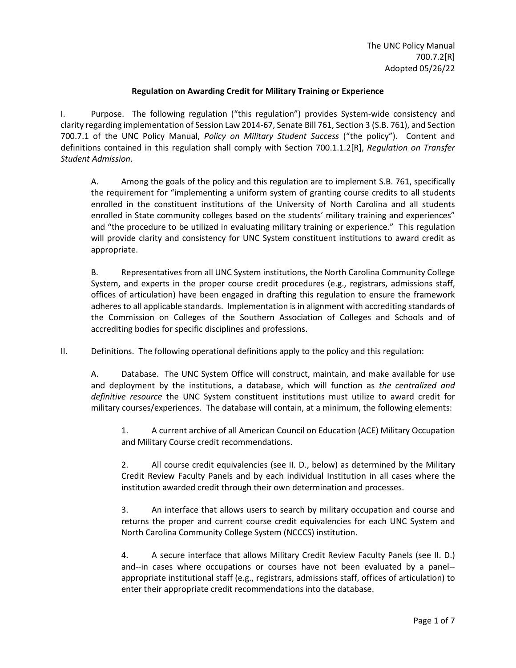## **Regulation on Awarding Credit for Military Training or Experience**

I. Purpose. The following regulation ("this regulation") provides System-wide consistency and clarity regarding implementation of Session Law 2014-67, Senate Bill 761, Section 3 (S.B. 761), and Section 700.7.1 of the UNC Policy Manual, *Policy on Military Student Success* ("the policy"). Content and definitions contained in this regulation shall comply with Section 700.1.1.2[R], *Regulation on Transfer Student Admission*.

A. Among the goals of the policy and this regulation are to implement S.B. 761, specifically the requirement for "implementing a uniform system of granting course credits to all students enrolled in the constituent institutions of the University of North Carolina and all students enrolled in State community colleges based on the students' military training and experiences" and "the procedure to be utilized in evaluating military training or experience." This regulation will provide clarity and consistency for UNC System constituent institutions to award credit as appropriate.

B. Representatives from all UNC System institutions, the North Carolina Community College System, and experts in the proper course credit procedures (e.g., registrars, admissions staff, offices of articulation) have been engaged in drafting this regulation to ensure the framework adheres to all applicable standards. Implementation is in alignment with accrediting standards of the Commission on Colleges of the Southern Association of Colleges and Schools and of accrediting bodies for specific disciplines and professions.

II. Definitions. The following operational definitions apply to the policy and this regulation:

A. Database. The UNC System Office will construct, maintain, and make available for use and deployment by the institutions, a database, which will function as *the centralized and definitive resource* the UNC System constituent institutions must utilize to award credit for military courses/experiences. The database will contain, at a minimum, the following elements:

1. A current archive of all American Council on Education (ACE) Military Occupation and Military Course credit recommendations.

2. All course credit equivalencies (see II. D., below) as determined by the Military Credit Review Faculty Panels and by each individual Institution in all cases where the institution awarded credit through their own determination and processes.

3. An interface that allows users to search by military occupation and course and returns the proper and current course credit equivalencies for each UNC System and North Carolina Community College System (NCCCS) institution.

4. A secure interface that allows Military Credit Review Faculty Panels (see II. D.) and--in cases where occupations or courses have not been evaluated by a panel- appropriate institutional staff (e.g., registrars, admissions staff, offices of articulation) to enter their appropriate credit recommendations into the database.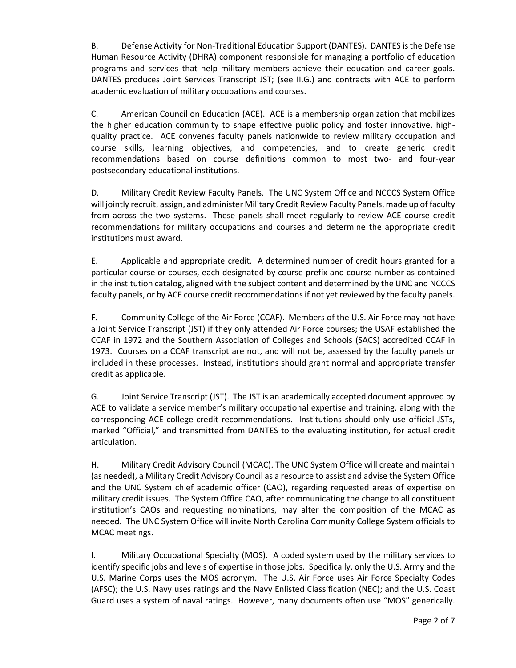B. Defense Activity for Non-Traditional Education Support (DANTES). DANTES is the Defense Human Resource Activity (DHRA) component responsible for managing a portfolio of education programs and services that help military members achieve their education and career goals. DANTES produces Joint Services Transcript JST; (see II.G.) and contracts with ACE to perform academic evaluation of military occupations and courses.

C. American Council on Education (ACE). ACE is a membership organization that mobilizes the higher education community to shape effective public policy and foster innovative, highquality practice. ACE convenes faculty panels nationwide to review military occupation and course skills, learning objectives, and competencies, and to create generic credit recommendations based on course definitions common to most two- and four-year postsecondary educational institutions.

D. Military Credit Review Faculty Panels. The UNC System Office and NCCCS System Office will jointly recruit, assign, and administer Military Credit Review Faculty Panels, made up of faculty from across the two systems. These panels shall meet regularly to review ACE course credit recommendations for military occupations and courses and determine the appropriate credit institutions must award.

E. Applicable and appropriate credit. A determined number of credit hours granted for a particular course or courses, each designated by course prefix and course number as contained in the institution catalog, aligned with the subject content and determined by the UNC and NCCCS faculty panels, or by ACE course credit recommendations if not yet reviewed by the faculty panels.

F. Community College of the Air Force (CCAF). Members of the U.S. Air Force may not have a Joint Service Transcript (JST) if they only attended Air Force courses; the USAF established the CCAF in 1972 and the Southern Association of Colleges and Schools (SACS) accredited CCAF in 1973. Courses on a CCAF transcript are not, and will not be, assessed by the faculty panels or included in these processes. Instead, institutions should grant normal and appropriate transfer credit as applicable.

G. Joint Service Transcript (JST). The JST is an academically accepted document approved by ACE to validate a service member's military occupational expertise and training, along with the corresponding ACE college credit recommendations. Institutions should only use official JSTs, marked "Official," and transmitted from DANTES to the evaluating institution, for actual credit articulation.

H. Military Credit Advisory Council (MCAC). The UNC System Office will create and maintain (as needed), a Military Credit Advisory Council as a resource to assist and advise the System Office and the UNC System chief academic officer (CAO), regarding requested areas of expertise on military credit issues. The System Office CAO, after communicating the change to all constituent institution's CAOs and requesting nominations, may alter the composition of the MCAC as needed. The UNC System Office will invite North Carolina Community College System officials to MCAC meetings.

I. Military Occupational Specialty (MOS). A coded system used by the military services to identify specific jobs and levels of expertise in those jobs. Specifically, only the U.S. Army and the U.S. Marine Corps uses the MOS acronym. The U.S. Air Force uses Air Force Specialty Codes (AFSC); the U.S. Navy uses ratings and the Navy Enlisted Classification (NEC); and the U.S. Coast Guard uses a system of naval ratings. However, many documents often use "MOS" generically.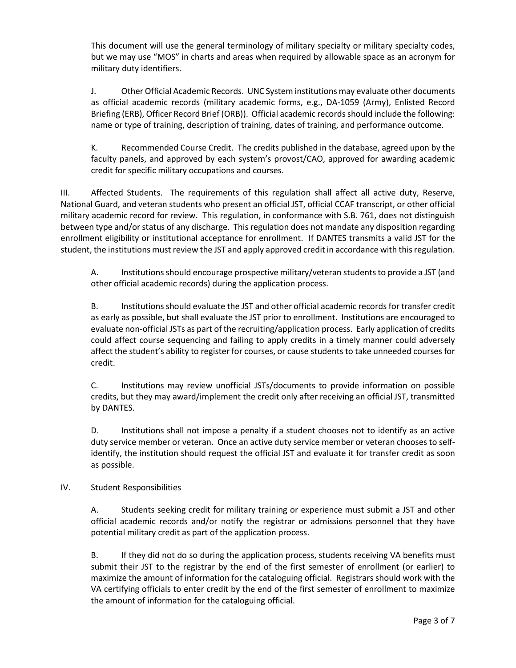This document will use the general terminology of military specialty or military specialty codes, but we may use "MOS" in charts and areas when required by allowable space as an acronym for military duty identifiers.

J. Other Official Academic Records. UNC System institutions may evaluate other documents as official academic records (military academic forms, e.g., DA-1059 (Army), Enlisted Record Briefing (ERB), Officer Record Brief (ORB)). Official academic records should include the following: name or type of training, description of training, dates of training, and performance outcome.

K. Recommended Course Credit. The credits published in the database, agreed upon by the faculty panels, and approved by each system's provost/CAO, approved for awarding academic credit for specific military occupations and courses.

III. Affected Students. The requirements of this regulation shall affect all active duty, Reserve, National Guard, and veteran students who present an official JST, official CCAF transcript, or other official military academic record for review. This regulation, in conformance with S.B. 761, does not distinguish between type and/or status of any discharge. This regulation does not mandate any disposition regarding enrollment eligibility or institutional acceptance for enrollment. If DANTES transmits a valid JST for the student, the institutions must review the JST and apply approved credit in accordance with this regulation.

A. Institutions should encourage prospective military/veteran studentsto provide a JST (and other official academic records) during the application process.

B. Institutions should evaluate the JST and other official academic records for transfer credit as early as possible, but shall evaluate the JST prior to enrollment. Institutions are encouraged to evaluate non-official JSTs as part of the recruiting/application process. Early application of credits could affect course sequencing and failing to apply credits in a timely manner could adversely affect the student's ability to register for courses, or cause students to take unneeded courses for credit.

C. Institutions may review unofficial JSTs/documents to provide information on possible credits, but they may award/implement the credit only after receiving an official JST, transmitted by DANTES.

D. Institutions shall not impose a penalty if a student chooses not to identify as an active duty service member or veteran. Once an active duty service member or veteran chooses to selfidentify, the institution should request the official JST and evaluate it for transfer credit as soon as possible.

# IV. Student Responsibilities

A. Students seeking credit for military training or experience must submit a JST and other official academic records and/or notify the registrar or admissions personnel that they have potential military credit as part of the application process.

B. If they did not do so during the application process, students receiving VA benefits must submit their JST to the registrar by the end of the first semester of enrollment (or earlier) to maximize the amount of information for the cataloguing official. Registrars should work with the VA certifying officials to enter credit by the end of the first semester of enrollment to maximize the amount of information for the cataloguing official.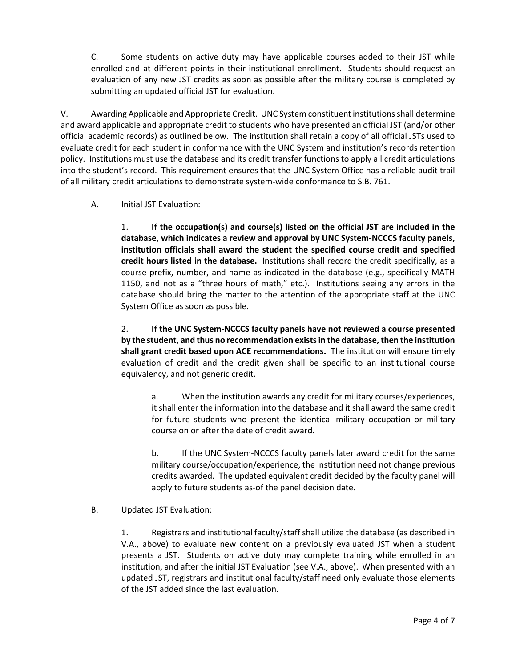C. Some students on active duty may have applicable courses added to their JST while enrolled and at different points in their institutional enrollment. Students should request an evaluation of any new JST credits as soon as possible after the military course is completed by submitting an updated official JST for evaluation.

V. Awarding Applicable and Appropriate Credit. UNC System constituent institutions shall determine and award applicable and appropriate credit to students who have presented an official JST (and/or other official academic records) as outlined below. The institution shall retain a copy of all official JSTs used to evaluate credit for each student in conformance with the UNC System and institution's records retention policy. Institutions must use the database and its credit transfer functions to apply all credit articulations into the student's record. This requirement ensures that the UNC System Office has a reliable audit trail of all military credit articulations to demonstrate system-wide conformance to S.B. 761.

## A. Initial JST Evaluation:

1. **If the occupation(s) and course(s) listed on the official JST are included in the database, which indicates a review and approval by UNC System-NCCCS faculty panels, institution officials shall award the student the specified course credit and specified credit hours listed in the database.** Institutions shall record the credit specifically, as a course prefix, number, and name as indicated in the database (e.g., specifically MATH 1150, and not as a "three hours of math," etc.). Institutions seeing any errors in the database should bring the matter to the attention of the appropriate staff at the UNC System Office as soon as possible.

2. **If the UNC System-NCCCS faculty panels have not reviewed a course presented by the student, and thus no recommendation exists in the database, then the institution shall grant credit based upon ACE recommendations.** The institution will ensure timely evaluation of credit and the credit given shall be specific to an institutional course equivalency, and not generic credit.

a. When the institution awards any credit for military courses/experiences, it shall enter the information into the database and it shall award the same credit for future students who present the identical military occupation or military course on or after the date of credit award.

b. If the UNC System-NCCCS faculty panels later award credit for the same military course/occupation/experience, the institution need not change previous credits awarded. The updated equivalent credit decided by the faculty panel will apply to future students as-of the panel decision date.

B. Updated JST Evaluation:

1. Registrars and institutional faculty/staff shall utilize the database (as described in V.A., above) to evaluate new content on a previously evaluated JST when a student presents a JST. Students on active duty may complete training while enrolled in an institution, and after the initial JST Evaluation (see V.A., above). When presented with an updated JST, registrars and institutional faculty/staff need only evaluate those elements of the JST added since the last evaluation.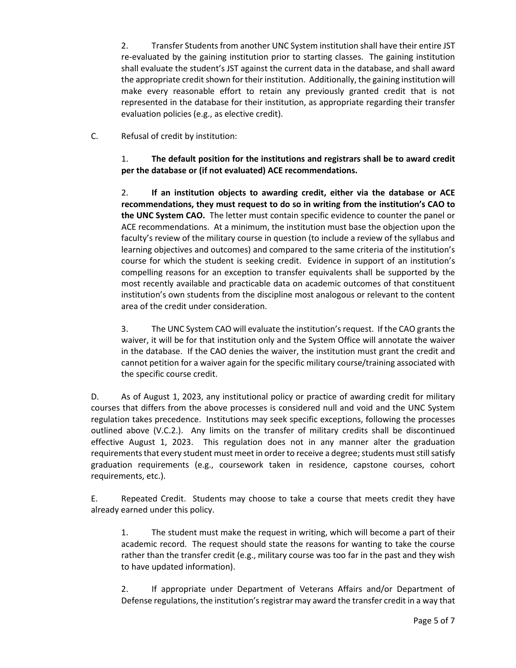2. Transfer Students from another UNC System institution shall have their entire JST re-evaluated by the gaining institution prior to starting classes. The gaining institution shall evaluate the student's JST against the current data in the database, and shall award the appropriate credit shown for their institution. Additionally, the gaining institution will make every reasonable effort to retain any previously granted credit that is not represented in the database for their institution, as appropriate regarding their transfer evaluation policies (e.g., as elective credit).

C. Refusal of credit by institution:

1. **The default position for the institutions and registrars shall be to award credit per the database or (if not evaluated) ACE recommendations.**

2. **If an institution objects to awarding credit, either via the database or ACE recommendations, they must request to do so in writing from the institution's CAO to the UNC System CAO.** The letter must contain specific evidence to counter the panel or ACE recommendations. At a minimum, the institution must base the objection upon the faculty's review of the military course in question (to include a review of the syllabus and learning objectives and outcomes) and compared to the same criteria of the institution's course for which the student is seeking credit. Evidence in support of an institution's compelling reasons for an exception to transfer equivalents shall be supported by the most recently available and practicable data on academic outcomes of that constituent institution's own students from the discipline most analogous or relevant to the content area of the credit under consideration.

3. The UNC System CAO will evaluate the institution's request. If the CAO grants the waiver, it will be for that institution only and the System Office will annotate the waiver in the database. If the CAO denies the waiver, the institution must grant the credit and cannot petition for a waiver again for the specific military course/training associated with the specific course credit.

D. As of August 1, 2023, any institutional policy or practice of awarding credit for military courses that differs from the above processes is considered null and void and the UNC System regulation takes precedence. Institutions may seek specific exceptions, following the processes outlined above (V.C.2.). Any limits on the transfer of military credits shall be discontinued effective August 1, 2023. This regulation does not in any manner alter the graduation requirements that every student must meet in order to receive a degree; students must still satisfy graduation requirements (e.g., coursework taken in residence, capstone courses, cohort requirements, etc.).

E. Repeated Credit. Students may choose to take a course that meets credit they have already earned under this policy.

1. The student must make the request in writing, which will become a part of their academic record. The request should state the reasons for wanting to take the course rather than the transfer credit (e.g., military course was too far in the past and they wish to have updated information).

2. If appropriate under Department of Veterans Affairs and/or Department of Defense regulations, the institution's registrar may award the transfer credit in a way that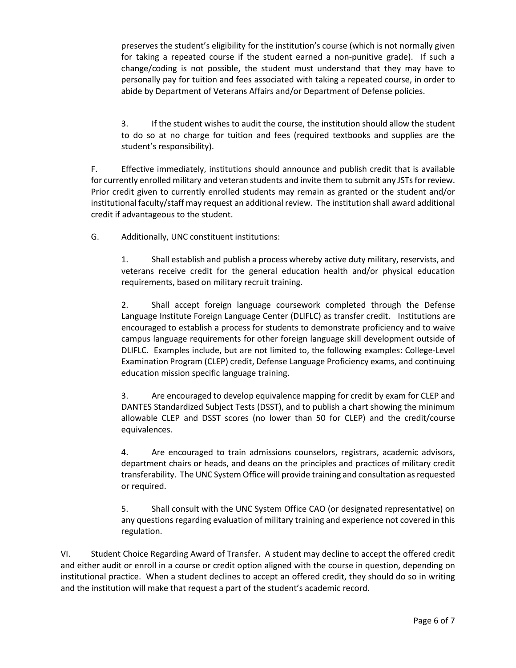preserves the student's eligibility for the institution's course (which is not normally given for taking a repeated course if the student earned a non-punitive grade). If such a change/coding is not possible, the student must understand that they may have to personally pay for tuition and fees associated with taking a repeated course, in order to abide by Department of Veterans Affairs and/or Department of Defense policies.

3. If the student wishes to audit the course, the institution should allow the student to do so at no charge for tuition and fees (required textbooks and supplies are the student's responsibility).

F. Effective immediately, institutions should announce and publish credit that is available for currently enrolled military and veteran students and invite them to submit any JSTs for review. Prior credit given to currently enrolled students may remain as granted or the student and/or institutional faculty/staff may request an additional review. The institution shall award additional credit if advantageous to the student.

G. Additionally, UNC constituent institutions:

1. Shall establish and publish a process whereby active duty military, reservists, and veterans receive credit for the general education health and/or physical education requirements, based on military recruit training.

2. Shall accept foreign language coursework completed through the Defense Language Institute Foreign Language Center (DLIFLC) as transfer credit. Institutions are encouraged to establish a process for students to demonstrate proficiency and to waive campus language requirements for other foreign language skill development outside of DLIFLC. Examples include, but are not limited to, the following examples: College-Level Examination Program (CLEP) credit, Defense Language Proficiency exams, and continuing education mission specific language training.

3. Are encouraged to develop equivalence mapping for credit by exam for CLEP and DANTES Standardized Subject Tests (DSST), and to publish a chart showing the minimum allowable CLEP and DSST scores (no lower than 50 for CLEP) and the credit/course equivalences.

4. Are encouraged to train admissions counselors, registrars, academic advisors, department chairs or heads, and deans on the principles and practices of military credit transferability. The UNC System Office will provide training and consultation as requested or required.

5. Shall consult with the UNC System Office CAO (or designated representative) on any questions regarding evaluation of military training and experience not covered in this regulation.

VI. Student Choice Regarding Award of Transfer. A student may decline to accept the offered credit and either audit or enroll in a course or credit option aligned with the course in question, depending on institutional practice. When a student declines to accept an offered credit, they should do so in writing and the institution will make that request a part of the student's academic record.